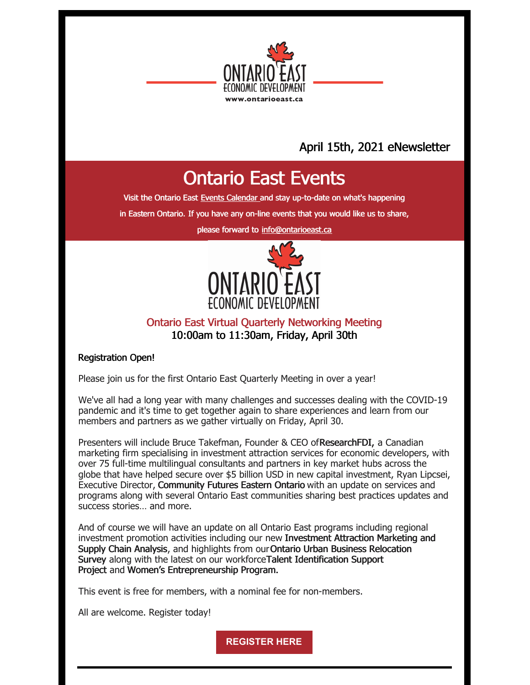

## April 15th, 2021 eNewsletter

## Ontario East Events

Visit the Ontario East Events [Calendar](https://ontarioeast.ca/events) and stay up-to-date on what's happening

in Eastern Ontario. If you have any on-line events that you would like us to share,

please forward to [info@ontarioeast.ca](mailto:info@ontarioeast.ca)



## Ontario East Virtual Quarterly Networking Meeting 10:00am to 11:30am, Friday, April 30th

### Registration Open!

Please join us for the first Ontario East Quarterly Meeting in over a year!

We've all had a long year with many challenges and successes dealing with the COVID-19 pandemic and it's time to get together again to share experiences and learn from our members and partners as we gather virtually on Friday, April 30.

Presenters will include Bruce Takefman, Founder & CEO ofResearchFDI, a Canadian marketing firm specialising in investment attraction services for economic developers, with over 75 full-time multilingual consultants and partners in key market hubs across the globe that have helped secure over \$5 billion USD in new capital investment, Ryan Lipcsei, Executive Director, Community Futures Eastern Ontario with an update on services and programs along with several Ontario East communities sharing best practices updates and success stories… and more.

And of course we will have an update on all Ontario East programs including regional investment promotion activities including our new Investment Attraction Marketing and Supply Chain Analysis, and highlights from ourOntario Urban Business Relocation Survey along with the latest on our workforceTalent Identification Support Project and Women's Entrepreneurship Program.

This event is free for members, with a nominal fee for non-members.

All are welcome. Register today!

**[REGISTER](https://www.eventbrite.ca/e/ontario-east-economic-development-commission-quarterly-meeting-registration-150788962847) HERE**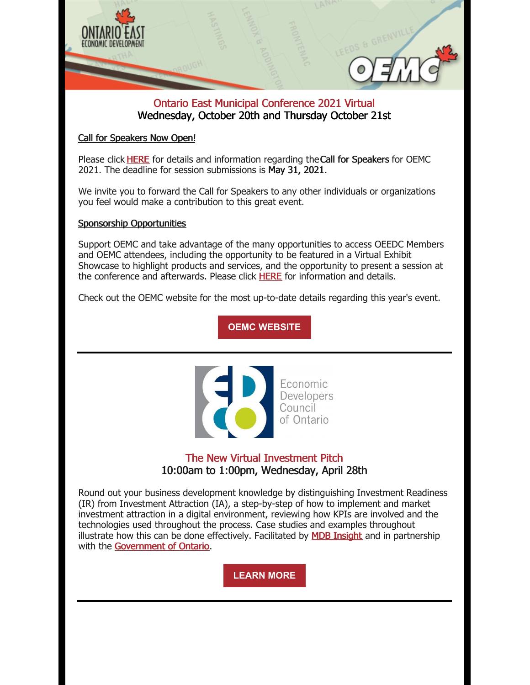

### Ontario East Municipal Conference 2021 Virtual Wednesday, October 20th and Thursday October 21st

### Call for Speakers Now Open!

Please click [HERE](https://oemc.ca/call-for-speakers-2021/) for details and information regarding theCall for Speakers for OEMC 2021. The deadline for session submissions is May 31, 2021.

We invite you to forward the Call for Speakers to any other individuals or organizations you feel would make a contribution to this great event.

### Sponsorship Opportunities

Support OEMC and take advantage of the many opportunities to access OEEDC Members and OEMC attendees, including the opportunity to be featured in a Virtual Exhibit Showcase to highlight products and services, and the opportunity to present a session at the conference and afterwards. Please click [HERE](https://oemc.ca/2021-sponsorship-opportunities/) for information and details.

Check out the OEMC website for the most up-to-date details regarding this year's event.

## **OEMC [WEBSITE](https://oemc.ca/)**



## The New Virtual Investment Pitch 10:00am to 1:00pm, Wednesday, April 28th

Round out your business development knowledge by distinguishing Investment Readiness (IR) from Investment Attraction (IA), a step-by-step of how to implement and market investment attraction in a digital environment, reviewing how KPIs are involved and the technologies used throughout the process. Case studies and examples throughout illustrate how this can be done effectively. Facilitated by **MDB [Insight](https://mdbinsight.com/)** and in partnership with the [Government](https://www.ontario.ca/) of Ontario.

**[LEARN](https://edco.on.ca/event-4214073?CalendarViewType=1&SelectedDate=4/16/2021) MORE**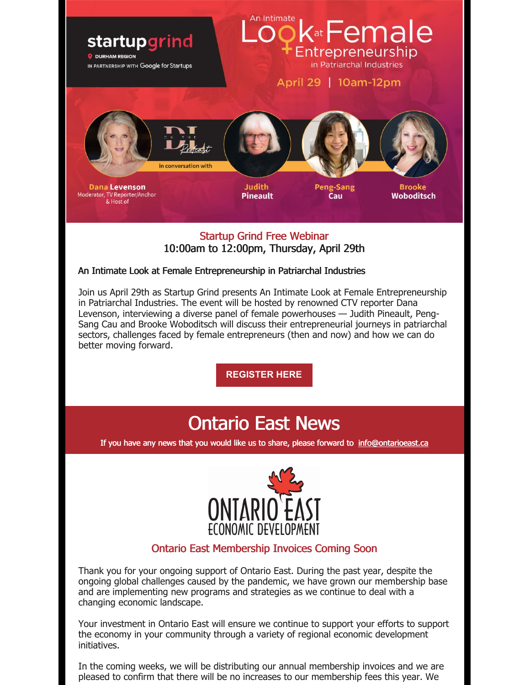

### Startup Grind Free Webinar 10:00am to 12:00pm, Thursday, April 29th

### An Intimate Look at Female Entrepreneurship in Patriarchal Industries

Join us April 29th as Startup Grind presents An Intimate Look at Female Entrepreneurship in Patriarchal Industries. The event will be hosted by renowned CTV reporter Dana Levenson, interviewing a diverse panel of female powerhouses — Judith Pineault, Peng-Sang Cau and Brooke Woboditsch will discuss their entrepreneurial journeys in patriarchal sectors, challenges faced by female entrepreneurs (then and now) and how we can do better moving forward.

**[REGISTER](https://hopin.com/events/startup-grind-an-intimate-look-at-female-entrepreneurship-in-patriarchal-industries) HERE**

# Ontario East News

If you have any news that you would like us to share, please forward to [info@ontarioeast.ca](mailto:info@ontarioeast.ca)



## Ontario East Membership Invoices Coming Soon

Thank you for your ongoing support of Ontario East. During the past year, despite the ongoing global challenges caused by the pandemic, we have grown our membership base and are implementing new programs and strategies as we continue to deal with a changing economic landscape.

Your investment in Ontario East will ensure we continue to support your efforts to support the economy in your community through a variety of regional economic development initiatives.

In the coming weeks, we will be distributing our annual membership invoices and we are pleased to confirm that there will be no increases to our membership fees this year. We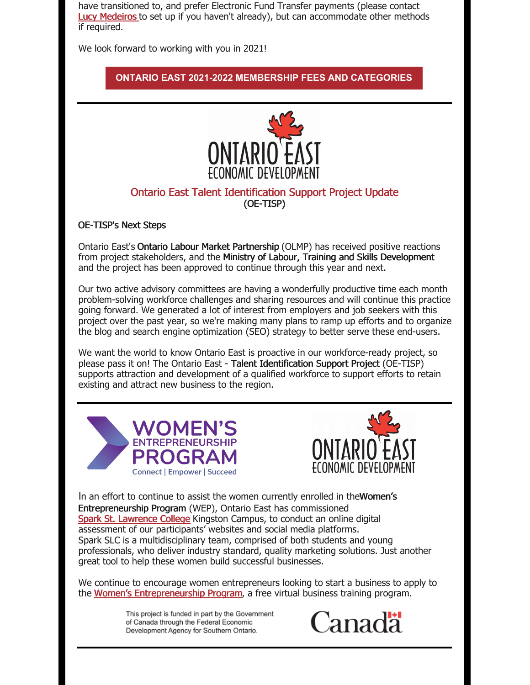have transitioned to, and prefer Electronic Fund Transfer payments (please contact Lucy [Medeiros](mailto:lucy@ontarioeast.ca) to set up if you haven't already), but can accommodate other methods if required.

We look forward to working with you in 2021!

### **ONTARIO EAST 2021-2022 [MEMBERSHIP](https://ontarioeast.ca/become-member) FEES AND CATEGORIES**



### Ontario East Talent Identification Support Project Update (OE-TISP)

OE-TISP's Next Steps

Ontario East's Ontario Labour Market Partnership (OLMP) has received positive reactions from project stakeholders, and the Ministry of Labour, Training and Skills Development and the project has been approved to continue through this year and next.

Our two active advisory committees are having a wonderfully productive time each month problem-solving workforce challenges and sharing resources and will continue this practice going forward. We generated a lot of interest from employers and job seekers with this project over the past year, so we're making many plans to ramp up efforts and to organize the blog and search engine optimization (SEO) strategy to better serve these end-users.

We want the world to know Ontario East is proactive in our workforce-ready project, so please pass it on! The Ontario East - Talent Identification Support Project (OE-TISP) supports attraction and development of a qualified workforce to support efforts to retain existing and attract new business to the region.





In an effort to continue to assist the women currently enrolled in the Women's Entrepreneurship Program (WEP), Ontario East has commissioned Spark St. [Lawrence](https://www.sparkslc.ca/) College Kingston Campus, to conduct an online digital assessment of our participants' websites and social media platforms. Spark SLC is a multidisciplinary team, comprised of both students and young professionals, who deliver industry standard, quality marketing solutions. Just another great tool to help these women build successful businesses.

We continue to encourage women entrepreneurs looking to start a business to apply to the Women's [Entrepreneurship](https://offers.ontarioeast.ca/learn-about-wep) Program, a free virtual business training program.

> This project is funded in part by the Government of Canada through the Federal Economic Development Agency for Southern Ontario.

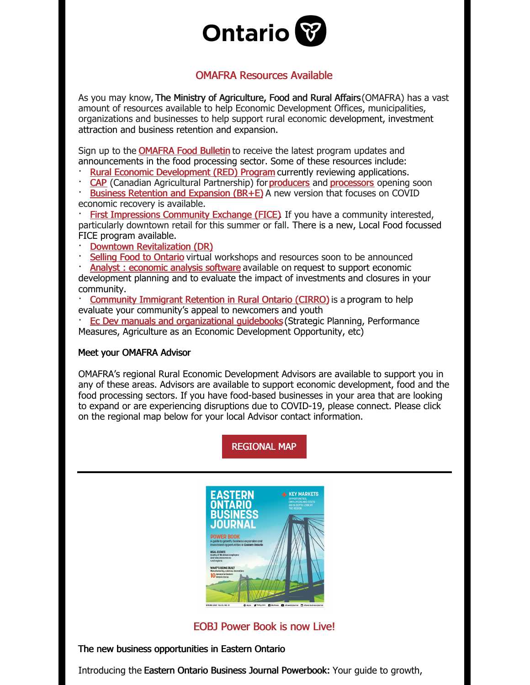

### OMAFRA Resources Available

As you may know, The Ministry of Agriculture, Food and Rural Affairs (OMAFRA) has a vast amount of resources available to help Economic Development Offices, municipalities, organizations and businesses to help support rural economic development, investment attraction and business retention and expansion.

Sign up to the **[OMAFRA](http://www.omafra.gov.on.ca/english/new/comm-bulletins-form.htm) Food Bulletin** to receive the latest program updates and announcements in the food processing sector. Some of these resources include:

**Rural Economic [Development](https://can01.safelinks.protection.outlook.com/?url=https%3A%2F%2Fwww.ontario.ca%2Fpage%2Frural-economic-development-program&data=04%7C01%7CTrevor.Crowe%40ontario.ca%7C1a4d98e947e3466bec4108d8957f6201%7Ccddc1229ac2a4b97b78a0e5cacb5865c%7C0%7C0%7C637423721624937333%7CUnknown%7CTWFpbGZsb3d8eyJWIjoiMC4wLjAwMDAiLCJQIjoiV2luMzIiLCJBTiI6Ik1haWwiLCJXVCI6Mn0%3D%7C3000&sdata=05v4t8M1yg9EnkQX7U31jGDBo6xmyXDOvICKgbVhRa4%3D&reserved=0) (RED) Program** currently reviewing applications.

· [CAP](https://can01.safelinks.protection.outlook.com/?url=http%3A%2F%2Fwww.omafra.gov.on.ca%2Fenglish%2Fcap%2Findex.htm&data=04%7C01%7CTrevor.Crowe%40ontario.ca%7C1a4d98e947e3466bec4108d8957f6201%7Ccddc1229ac2a4b97b78a0e5cacb5865c%7C0%7C0%7C637423721624917340%7CUnknown%7CTWFpbGZsb3d8eyJWIjoiMC4wLjAwMDAiLCJQIjoiV2luMzIiLCJBTiI6Ik1haWwiLCJXVCI6Mn0%3D%7C3000&sdata=Hox4w%2FgV1WVCW6TcbfCYeoHDYu6%2Fg1w0IW5GqUOnhCQ%3D&reserved=0) (Canadian Agricultural Partnership) for[producers](https://can01.safelinks.protection.outlook.com/?url=http%3A%2F%2Fwww.omafra.gov.on.ca%2Fenglish%2Fcap%2Fplacetogrow.html%23farmers&data=04%7C01%7CTrevor.Crowe%40ontario.ca%7C1a4d98e947e3466bec4108d8957f6201%7Ccddc1229ac2a4b97b78a0e5cacb5865c%7C0%7C0%7C637423721624927339%7CUnknown%7CTWFpbGZsb3d8eyJWIjoiMC4wLjAwMDAiLCJQIjoiV2luMzIiLCJBTiI6Ik1haWwiLCJXVCI6Mn0%3D%7C3000&sdata=mwc05jIcr%2FMg4NBE4D0ZRviWBcwK%2FrZKK8%2By3J%2FYl98%3D&reserved=0) and [processors](https://can01.safelinks.protection.outlook.com/?url=http%3A%2F%2Fwww.omafra.gov.on.ca%2Fenglish%2Fcap%2Fprocessors.htm&data=04%7C01%7CTrevor.Crowe%40ontario.ca%7C1a4d98e947e3466bec4108d8957f6201%7Ccddc1229ac2a4b97b78a0e5cacb5865c%7C0%7C0%7C637423721624927339%7CUnknown%7CTWFpbGZsb3d8eyJWIjoiMC4wLjAwMDAiLCJQIjoiV2luMzIiLCJBTiI6Ik1haWwiLCJXVCI6Mn0%3D%7C3000&sdata=yDJkTKLOX4q3tJSwUj0Qs5BtlO9C5ys%2B4oEDPL7akX0%3D&reserved=0) opening soon

Business Retention and [Expansion](https://can01.safelinks.protection.outlook.com/?url=https%3A%2F%2Fwww.ontario.ca%2Fpage%2Fbusiness-retention-and-expansion-program&data=04%7C01%7CTrevor.Crowe%40ontario.ca%7C1a4d98e947e3466bec4108d8957f6201%7Ccddc1229ac2a4b97b78a0e5cacb5865c%7C0%7C0%7C637423721624947320%7CUnknown%7CTWFpbGZsb3d8eyJWIjoiMC4wLjAwMDAiLCJQIjoiV2luMzIiLCJBTiI6Ik1haWwiLCJXVCI6Mn0%3D%7C3000&sdata=AuSWjXWEKdXR3CMzQtJlyL6dSPp1ojQ1uOPRsw1Az%2FE%3D&reserved=0) (BR+E) A new version that focuses on COVID economic recovery is available.

First [Impressions](https://can01.safelinks.protection.outlook.com/?url=https%3A%2F%2Fwww.ontario.ca%2Fpage%2Fimprove-how-your-community-serves-visitors&data=04%7C01%7CTrevor.Crowe%40ontario.ca%7C1a4d98e947e3466bec4108d8957f6201%7Ccddc1229ac2a4b97b78a0e5cacb5865c%7C0%7C0%7C637423721624947320%7CUnknown%7CTWFpbGZsb3d8eyJWIjoiMC4wLjAwMDAiLCJQIjoiV2luMzIiLCJBTiI6Ik1haWwiLCJXVCI6Mn0%3D%7C3000&sdata=1YJBrQTnYlaAzK7f13XBU%2FCGdQpnYk5eZwTD3ssmngs%3D&reserved=0) Community Exchange (FICE). If you have a community interested, particularly downtown retail for this summer or fall. There is a new, Local Food focussed FICE program available.

Downtown [Revitalization](https://can01.safelinks.protection.outlook.com/?url=https%3A%2F%2Fwww.ontario.ca%2Fpage%2Fdowntown-revitalization-program&data=04%7C01%7CTrevor.Crowe%40ontario.ca%7C1a4d98e947e3466bec4108d8957f6201%7Ccddc1229ac2a4b97b78a0e5cacb5865c%7C0%7C0%7C637423721624957327%7CUnknown%7CTWFpbGZsb3d8eyJWIjoiMC4wLjAwMDAiLCJQIjoiV2luMzIiLCJBTiI6Ik1haWwiLCJXVCI6Mn0%3D%7C3000&sdata=BVOafZn4bQntAwEDCLcIPgpcEvN6ovR1r8ZYOvFo5RY%3D&reserved=0) (DR)

Selling Food to [Ontario](https://can01.safelinks.protection.outlook.com/?url=http%3A%2F%2Fwww.omafra.gov.on.ca%2Fenglish%2Fbusdev%2Ffacts%2Fsellingfoodwkshop.htm&data=04%7C01%7CTrevor.Crowe%40ontario.ca%7C1a4d98e947e3466bec4108d8957f6201%7Ccddc1229ac2a4b97b78a0e5cacb5865c%7C0%7C0%7C637423721624967320%7CUnknown%7CTWFpbGZsb3d8eyJWIjoiMC4wLjAwMDAiLCJQIjoiV2luMzIiLCJBTiI6Ik1haWwiLCJXVCI6Mn0%3D%7C3000&sdata=S4%2Fh7Dy38GLxMyhHiFL%2BhDkIB16%2FQwk3OyLeAoygtkI%3D&reserved=0) virtual workshops and resources soon to be announced

Analyst: [economic](https://can01.safelinks.protection.outlook.com/?url=https%3A%2F%2Fwww.ontario.ca%2Fpage%2Fanalyst-economic-analysis-software&data=04%7C01%7CTrevor.Crowe%40ontario.ca%7C1a4d98e947e3466bec4108d8957f6201%7Ccddc1229ac2a4b97b78a0e5cacb5865c%7C0%7C0%7C637423721624967320%7CUnknown%7CTWFpbGZsb3d8eyJWIjoiMC4wLjAwMDAiLCJQIjoiV2luMzIiLCJBTiI6Ik1haWwiLCJXVCI6Mn0%3D%7C3000&sdata=S6OBDqwRQvXVOqMZq09S%2FWYZ34gMhxpfuJup4t9aE68%3D&reserved=0) analysis software available on request to support economic

development planning and to evaluate the impact of investments and closures in your community.

[Community](https://can01.safelinks.protection.outlook.com/?url=https%3A%2F%2Fwww.ontario.ca%2Fpage%2Fcommunity-immigrant-retention-rural-ontario-program%3F_ga%3D2.3780080.1381880807.1606338703-2116381417.1606338703&data=04%7C01%7CTrevor.Crowe%40ontario.ca%7C1a4d98e947e3466bec4108d8957f6201%7Ccddc1229ac2a4b97b78a0e5cacb5865c%7C0%7C0%7C637423721624977309%7CUnknown%7CTWFpbGZsb3d8eyJWIjoiMC4wLjAwMDAiLCJQIjoiV2luMzIiLCJBTiI6Ik1haWwiLCJXVCI6Mn0%3D%7C3000&sdata=3JVgHc7qyG%2FbkifCdAGaRs8NvFO8qe%2B6bX6%2FqAxlJeA%3D&reserved=0) Immigrant Retention in Rural Ontario (CIRRO) is a program to help evaluate your community's appeal to newcomers and youth

· Ec Dev manuals and [organizational](https://can01.safelinks.protection.outlook.com/?url=https%3A%2F%2Fsurvey.clicktools.com%2Fapp%2Fsurvey%2Fresponse.jsp&data=04%7C01%7CTrevor.Crowe%40ontario.ca%7C1a4d98e947e3466bec4108d8957f6201%7Ccddc1229ac2a4b97b78a0e5cacb5865c%7C0%7C1%7C637423721624977309%7CUnknown%7CTWFpbGZsb3d8eyJWIjoiMC4wLjAwMDAiLCJQIjoiV2luMzIiLCJBTiI6Ik1haWwiLCJXVCI6Mn0%3D%7C3000&sdata=8zjsaJF4gPvuPo3jBQlE4Tu39sgctff9Fx1%2BPl7K9c4%3D&reserved=0) guidebooks (Strategic Planning, Performance Measures, Agriculture as an Economic Development Opportunity, etc)

#### Meet your OMAFRA Advisor

OMAFRA's regional Rural Economic Development Advisors are available to support you in any of these areas. Advisors are available to support economic development, food and the food processing sectors. If you have food-based businesses in your area that are looking to expand or are experiencing disruptions due to COVID-19, please connect. Please click on the regional map below for your local Advisor contact information.

[REGIONAL](https://files.constantcontact.com/35c7e81d001/de0193d9-8af7-4ca6-ab24-29b9d383275a.pdf?rdr=true) MAP



EOBJ Power Book is now Live!

The new business opportunities in Eastern Ontario

Introducing the Eastern Ontario Business Journal Powerbook: Your guide to growth,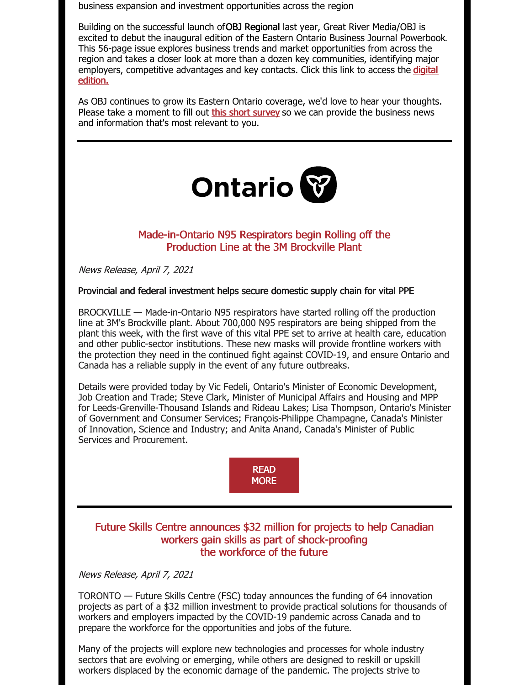business expansion and investment opportunities across the region

Building on the successful launch ofOBJ [Regional](https://www.obj.ca/index.php/regional) last year, Great River Media/OBJ is excited to debut the inaugural edition of the Eastern Ontario Business Journal [Powerbook.](https://issuu.com/greatrivermedia/docs/powerbook_pagination_spring2021_low_res?fr=sN2M5YTM0MjYwMDA) This 56-page issue explores business trends and market opportunities from across the region and takes a closer look at more than a dozen key communities, identifying major employers, [competitive](https://issuu.com/greatrivermedia/docs/powerbook_pagination_spring2021_low_res?fr=sN2M5YTM0MjYwMDA) advantages and key contacts. Click this link to access the digital edition.

As OBJ continues to grow its Eastern Ontario coverage, we'd love to hear your thoughts. Please take a moment to fill out this short [survey](https://docs.google.com/forms/d/e/1FAIpQLSfE-2aNoPz-EiCyVA03a49wIIk-LR8jmI1jZzGQEX0e8gky_Q/viewform?gxids=7628) so we can provide the business news and information that's most relevant to you.



### Made-in-Ontario N95 Respirators begin Rolling off the Production Line at the 3M Brockville Plant

News Release, April 7, 2021

#### Provincial and federal investment helps secure domestic supply chain for vital PPE

BROCKVILLE — Made-in-Ontario N95 respirators have started rolling off the production line at 3M's Brockville plant. About 700,000 N95 respirators are being shipped from the plant this week, with the first wave of this vital PPE set to arrive at health care, education and other public-sector institutions. These new masks will provide frontline workers with the protection they need in the continued fight against COVID-19, and ensure Ontario and Canada has a reliable supply in the event of any future outbreaks.

Details were provided today by Vic Fedeli, Ontario's Minister of Economic Development, Job Creation and Trade; Steve Clark, Minister of Municipal Affairs and Housing and MPP for Leeds-Grenville-Thousand Islands and Rideau Lakes; Lisa Thompson, Ontario's Minister of Government and Consumer Services; François-Philippe Champagne, Canada's Minister of Innovation, Science and Industry; and Anita Anand, Canada's Minister of Public Services and Procurement.



### Future Skills Centre announces \$32 million for projects to help Canadian workers gain skills as part of shock-proofing the workforce of the future

News Release, April 7, 2021

TORONTO — Future Skills Centre (FSC) today announces the funding of 64 innovation projects as part of a \$32 million investment to provide practical solutions for thousands of workers and employers impacted by the COVID-19 pandemic across Canada and to prepare the workforce for the opportunities and jobs of the future.

Many of the projects will explore new technologies and processes for whole industry sectors that are evolving or emerging, while others are designed to reskill or upskill workers displaced by the economic damage of the pandemic. The projects strive to